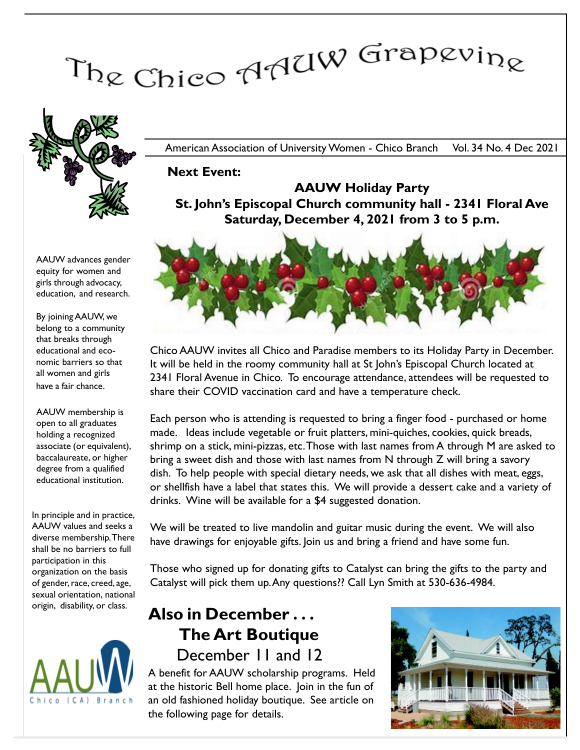# The Chico AAUW Grapevine



American Association of University Women - Chico Branch Vol. 34 No. 4 Dec 2021

Next Event:

#### AAUW advances gender equity for women and girls through advocacy, education, and research.

By joining AAUW, we belong to a community that breaks through educational and economic barriers so that all women and girls have a fair chance.

AAUW membership is open to all graduates holding a recognized associate (or equivalent), baccalaureate, or higher degree from a qualified educational institution.

In principle and in practice, AAUW values and seeks a diverse membership. There shall be no barriers to full participation in this organization on the basis of gender, race, creed, age, sexual orientation, national origin, disability, or class.



AAUW Holiday Party St. John's Episcopal Church community hall - 2341 Floral Ave Saturday, December 4, 2021 from 3 to 5 p.m.



Chico AAUW invites all Chico and Paradise members to its Holiday Party in December. It will be held in the roomy community hall at St John's Episcopal Church located at 2341 Floral Avenue in Chico. To encourage attendance, attendees will be requested to share their COVID vaccination card and have a temperature check.

Each person who is attending is requested to bring a finger food - purchased or home made. Ideas include vegetable or fruit platters, mini-quiches, cookies, quick breads, shrimp on a stick, mini-pizzas, etc. Those with last names from A through M are asked to bring a sweet dish and those with last names from N through Z will bring a savory dish. To help people with special dietary needs, we ask that all dishes with meat, eggs, or shellfish have a label that states this. We will provide a dessert cake and a variety of drinks. Wine will be available for a \$4 suggested donation.

We will be treated to live mandolin and guitar music during the event. We will also have drawings for enjoyable gifts. Join us and bring a friend and have some fun.

Those who signed up for donating gifts to Catalyst can bring the gifts to the party and Catalyst will pick them up. Any questions?? Call Lyn Smith at 530-636-4984.

# Also in December . . . The Art Boutique December 11 and 12

A benefit for AAUW scholarship programs. Held at the historic Bell home place. Join in the fun of an old fashioned holiday boutique. See article on the following page for details.

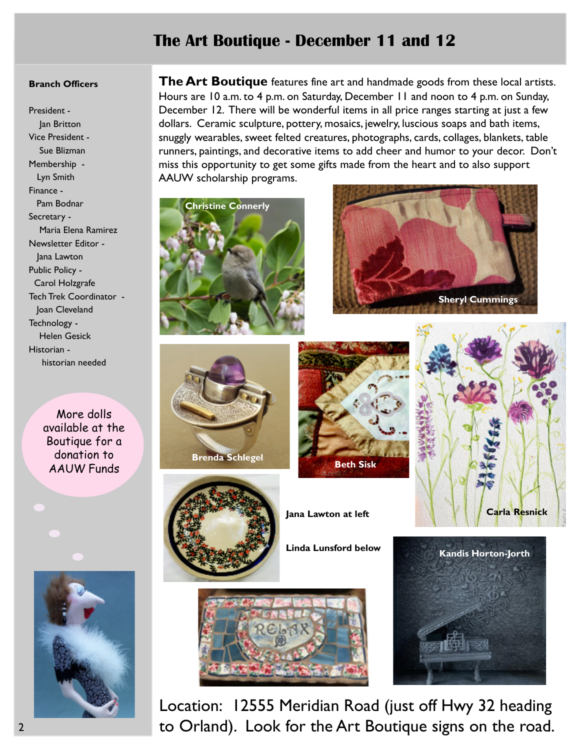## The Art Boutique - December 11 and 12

#### Branch Officers

President - Jan Britton Vice President - Sue Blizman Membership - Lyn Smith Finance - Pam Bodnar Secretary - Maria Elena Ramirez Newsletter Editor - Jana Lawton Public Policy - Carol Holzgrafe Tech Trek Coordinator - Joan Cleveland Technology - Helen Gesick Historian historian needed

More dolls available at the Boutique for a donation to AAUW Funds

The Art Boutique features fine art and handmade goods from these local artists. Hours are 10 a.m. to 4 p.m. on Saturday, December 11 and noon to 4 p.m. on Sunday, December 12. There will be wonderful items in all price ranges starting at just a few dollars. Ceramic sculpture, pottery, mosaics, jewelry, luscious soaps and bath items, snuggly wearables, sweet felted creatures, photographs, cards, collages, blankets, table runners, paintings, and decorative items to add cheer and humor to your decor. Don't miss this opportunity to get some gifts made from the heart and to also support AAUW scholarship programs.







Brenda Schlegel







Linda Lunsford below





Carla Resnick

Location: 12555 Meridian Road (just off Hwy 32 heading to Orland). Look for the Art Boutique signs on the road.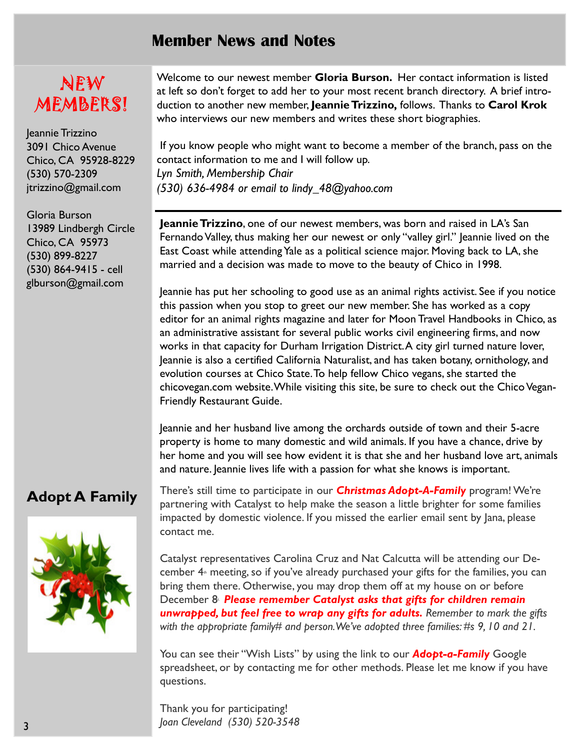## Member News and Notes

# NEW MEMBERS!

Jeannie Trizzino 3091 Chico Avenue Chico, CA 95928-8229 (530) 570-2309 jtrizzino@gmail.com

Gloria Burson 13989 Lindbergh Circle Chico, CA 95973 (530) 899-8227 (530) 864-9415 - cell glburson@gmail.com

Welcome to our newest member Gloria Burson. Her contact information is listed at left so don't forget to add her to your most recent branch directory. A brief introduction to another new member, Jeannie Trizzino, follows. Thanks to Carol Krok who interviews our new members and writes these short biographies.

 If you know people who might want to become a member of the branch, pass on the contact information to me and I will follow up. Lyn Smith, Membership Chair (530) 636-4984 or email to lindy\_48@yahoo.com

Jeannie Trizzino, one of our newest members, was born and raised in LA's San Fernando Valley, thus making her our newest or only "valley girl." Jeannie lived on the East Coast while attending Yale as a political science major. Moving back to LA, she married and a decision was made to move to the beauty of Chico in 1998.

Jeannie has put her schooling to good use as an animal rights activist. See if you notice this passion when you stop to greet our new member. She has worked as a copy editor for an animal rights magazine and later for Moon Travel Handbooks in Chico, as an administrative assistant for several public works civil engineering firms, and now works in that capacity for Durham Irrigation District.A city girl turned nature lover, Jeannie is also a certified California Naturalist, and has taken botany, ornithology, and evolution courses at Chico State. To help fellow Chico vegans, she started the chicovegan.com website. While visiting this site, be sure to check out the Chico Vegan-Friendly Restaurant Guide.

Jeannie and her husband live among the orchards outside of town and their 5-acre property is home to many domestic and wild animals. If you have a chance, drive by her home and you will see how evident it is that she and her husband love art, animals and nature. Jeannie lives life with a passion for what she knows is important.

## Adopt A Family



There's still time to participate in our **Christmas Adopt-A-Family** program! We're partnering with Catalyst to help make the season a little brighter for some families impacted by domestic violence. If you missed the earlier email sent by Jana, please contact me.

Catalyst representatives Carolina Cruz and Nat Calcutta will be attending our December  $4<sup>*</sup>$  meeting, so if you've already purchased your gifts for the families, you can bring them there. Otherwise, you may drop them off at my house on or before December 8<sup>.</sup> Please remember Catalyst asks that gifts for children remain unwrapped, but feel free to wrap any gifts for adults. Remember to mark the gifts with the appropriate family# and person. We've adopted three families: #s 9, 10 and 21.

You can see their "Wish Lists" by using the link to our **Adopt-a-Family** Google spreadsheet, or by contacting me for other methods. Please let me know if you have questions.

Thank you for participating! Joan Cleveland (530) 520-3548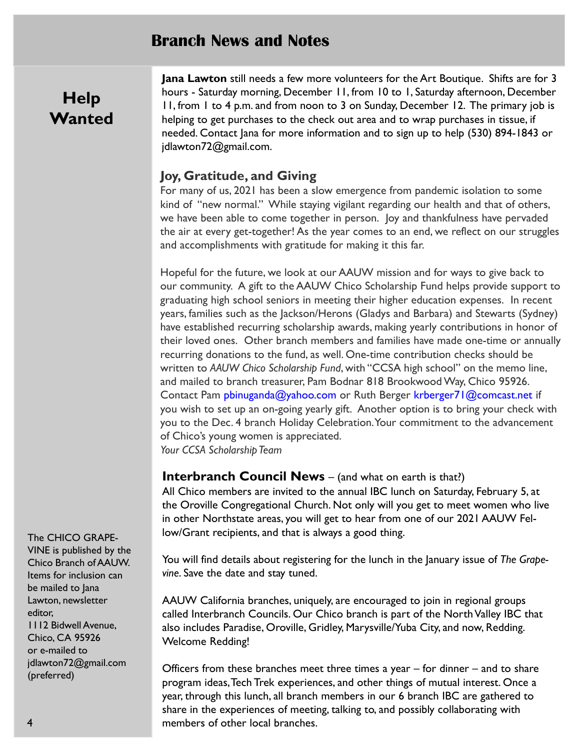### Branch News and Notes

# **Help Wanted**

Jana Lawton still needs a few more volunteers for the Art Boutique. Shifts are for 3 hours - Saturday morning, December 11, from 10 to 1, Saturday afternoon, December 11, from 1 to 4 p.m. and from noon to 3 on Sunday, December 12. The primary job is helping to get purchases to the check out area and to wrap purchases in tissue, if needed. Contact Jana for more information and to sign up to help (530) 894-1843 or jdlawton72@gmail.com.

#### Joy, Gratitude, and Giving

For many of us, 2021 has been a slow emergence from pandemic isolation to some kind of "new normal." While staying vigilant regarding our health and that of others, we have been able to come together in person. Joy and thankfulness have pervaded the air at every get-together! As the year comes to an end, we reflect on our struggles and accomplishments with gratitude for making it this far.

Hopeful for the future, we look at our AAUW mission and for ways to give back to our community. A gift to the AAUW Chico Scholarship Fund helps provide support to graduating high school seniors in meeting their higher education expenses. In recent years, families such as the Jackson/Herons (Gladys and Barbara) and Stewarts (Sydney) have established recurring scholarship awards, making yearly contributions in honor of their loved ones. Other branch members and families have made one-time or annually recurring donations to the fund, as well. One-time contribution checks should be written to AAUW Chico Scholarship Fund, with "CCSA high school" on the memo line, and mailed to branch treasurer, Pam Bodnar 818 Brookwood Way, Chico 95926. Contact Pam pbinuganda@yahoo.com or Ruth Berger krberger71@comcast.net if you wish to set up an on-going yearly gift. Another option is to bring your check with you to the Dec. 4 branch Holiday Celebration. Your commitment to the advancement of Chico's young women is appreciated. Your CCSA Scholarship Team

#### **Interbranch Council News** – (and what on earth is that?)

All Chico members are invited to the annual IBC lunch on Saturday, February 5, at the Oroville Congregational Church. Not only will you get to meet women who live in other Northstate areas, you will get to hear from one of our 2021 AAUW Fellow/Grant recipients, and that is always a good thing.

You will find details about registering for the lunch in the January issue of The Grapevine. Save the date and stay tuned.

AAUW California branches, uniquely, are encouraged to join in regional groups called Interbranch Councils. Our Chico branch is part of the North Valley IBC that also includes Paradise, Oroville, Gridley, Marysville/Yuba City, and now, Redding. Welcome Redding!

Officers from these branches meet three times a year – for dinner – and to share program ideas, Tech Trek experiences, and other things of mutual interest. Once a year, through this lunch, all branch members in our 6 branch IBC are gathered to share in the experiences of meeting, talking to, and possibly collaborating with members of other local branches.

#### The CHICO GRAPE-

VINE is published by the Chico Branch of AAUW. Items for inclusion can be mailed to Jana Lawton, newsletter editor, 1112 Bidwell Avenue, Chico, CA 95926 or e-mailed to jdlawton72@gmail.com (preferred)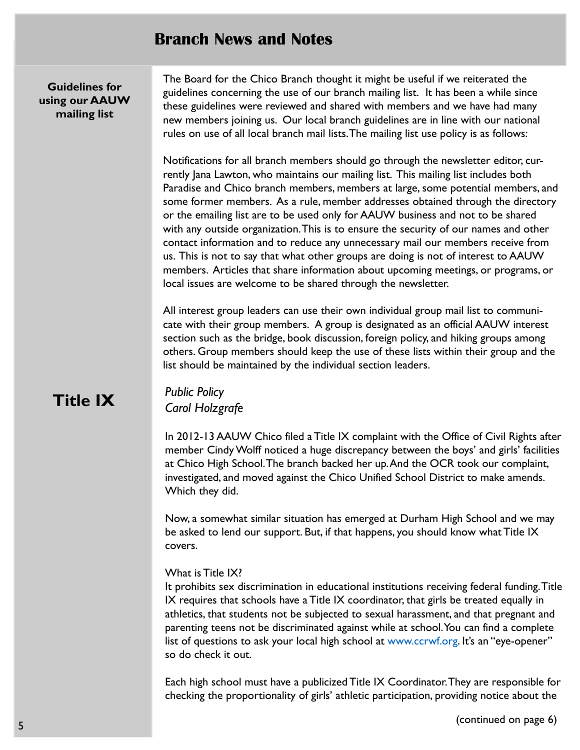## Branch News and Notes

Guidelines for using our AAUW mailing list

The Board for the Chico Branch thought it might be useful if we reiterated the guidelines concerning the use of our branch mailing list. It has been a while since these guidelines were reviewed and shared with members and we have had many new members joining us. Our local branch guidelines are in line with our national rules on use of all local branch mail lists.The mailing list use policy is as follows:

Notifications for all branch members should go through the newsletter editor, currently Jana Lawton, who maintains our mailing list. This mailing list includes both Paradise and Chico branch members, members at large, some potential members, and some former members. As a rule, member addresses obtained through the directory or the emailing list are to be used only for AAUW business and not to be shared with any outside organization.This is to ensure the security of our names and other contact information and to reduce any unnecessary mail our members receive from us. This is not to say that what other groups are doing is not of interest to AAUW members. Articles that share information about upcoming meetings, or programs, or local issues are welcome to be shared through the newsletter.

All interest group leaders can use their own individual group mail list to communicate with their group members. A group is designated as an official AAUW interest section such as the bridge, book discussion, foreign policy, and hiking groups among others. Group members should keep the use of these lists within their group and the list should be maintained by the individual section leaders.

# Title IX

Public Policy Carol Holzgrafe

In 2012-13 AAUW Chico filed a Title IX complaint with the Office of Civil Rights after member Cindy Wolff noticed a huge discrepancy between the boys' and girls' facilities at Chico High School.The branch backed her up. And the OCR took our complaint, investigated, and moved against the Chico Unified School District to make amends. Which they did.

Now, a somewhat similar situation has emerged at Durham High School and we may be asked to lend our support. But, if that happens, you should know what Title IX covers.

#### What is Title IX?

It prohibits sex discrimination in educational institutions receiving federal funding. Title IX requires that schools have a Title IX coordinator, that girls be treated equally in athletics, that students not be subjected to sexual harassment, and that pregnant and parenting teens not be discriminated against while at school. You can find a complete list of questions to ask your local high school at www.ccrwf.org. It's an "eye-opener" so do check it out.

Each high school must have a publicized Title IX Coordinator. They are responsible for checking the proportionality of girls' athletic participation, providing notice about the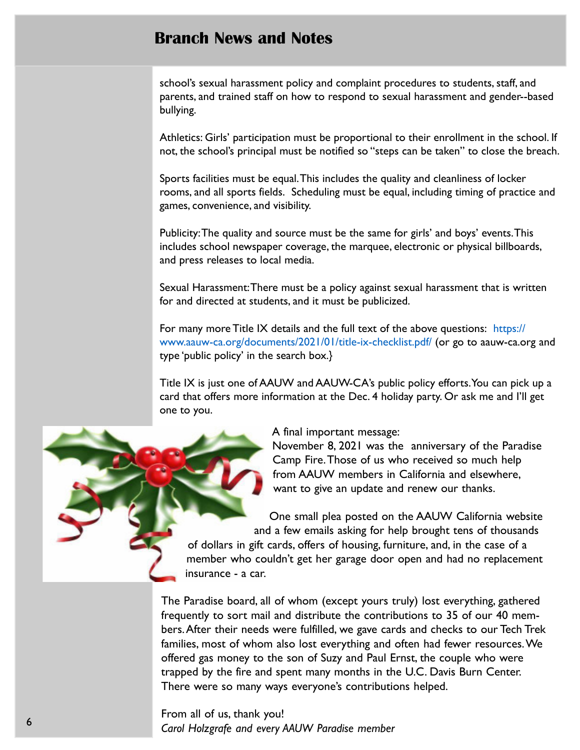## Branch News and Notes

school's sexual harassment policy and complaint procedures to students, staff, and parents, and trained staff on how to respond to sexual harassment and gender--based bullying.

Athletics: Girls' participation must be proportional to their enrollment in the school. If not, the school's principal must be notified so "steps can be taken" to close the breach.

Sports facilities must be equal.This includes the quality and cleanliness of locker rooms, and all sports fields. Scheduling must be equal, including timing of practice and games, convenience, and visibility.

Publicity:The quality and source must be the same for girls' and boys' events.This includes school newspaper coverage, the marquee, electronic or physical billboards, and press releases to local media.

Sexual Harassment:There must be a policy against sexual harassment that is written for and directed at students, and it must be publicized.

For many more Title IX details and the full text of the above questions: https:// www.aauw-ca.org/documents/2021/01/title-ix-checklist.pdf/ (or go to aauw-ca.org and type 'public policy' in the search box.}

Title IX is just one of AAUW and AAUW-CA's public policy efforts. You can pick up a card that offers more information at the Dec. 4 holiday party. Or ask me and I'll get one to you.

A final important message:

November 8, 2021 was the anniversary of the Paradise Camp Fire. Those of us who received so much help from AAUW members in California and elsewhere, want to give an update and renew our thanks.

One small plea posted on the AAUW California website and a few emails asking for help brought tens of thousands of dollars in gift cards, offers of housing, furniture, and, in the case of a member who couldn't get her garage door open and had no replacement insurance - a car.

The Paradise board, all of whom (except yours truly) lost everything, gathered frequently to sort mail and distribute the contributions to 35 of our 40 members.After their needs were fulfilled, we gave cards and checks to our Tech Trek families, most of whom also lost everything and often had fewer resources. We offered gas money to the son of Suzy and Paul Ernst, the couple who were trapped by the fire and spent many months in the U.C. Davis Burn Center. There were so many ways everyone's contributions helped.

From all of us, thank you! Carol Holzgrafe and every AAUW Paradise member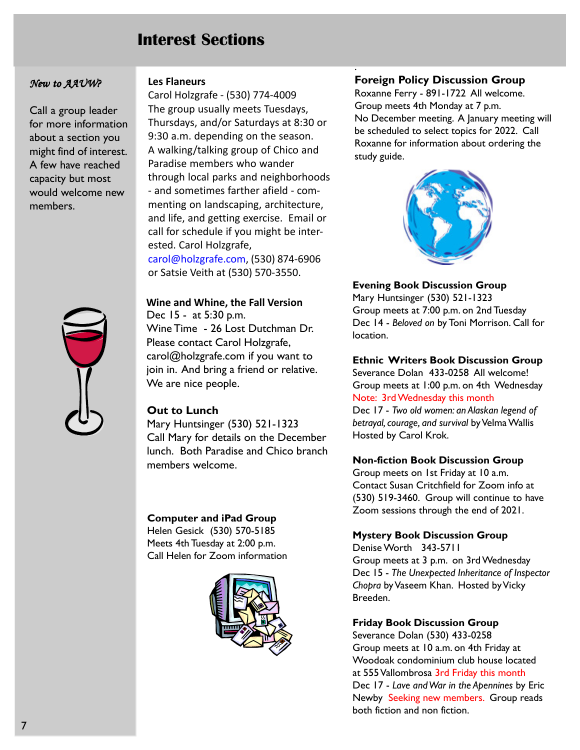## Interest Sections

#### New to AAUW?

Call a group leader for more information about a section you might find of interest. A few have reached capacity but most would welcome new members.



#### Les Flaneurs

Carol Holzgrafe - (530) 774-4009 The group usually meets Tuesdays, Thursdays, and/or Saturdays at 8:30 or 9:30 a.m. depending on the season. A walking/talking group of Chico and Paradise members who wander through local parks and neighborhoods - and sometimes farther afield - commenting on landscaping, architecture, and life, and getting exercise. Email or call for schedule if you might be interested. Carol Holzgrafe, carol@holzgrafe.com, (530) 874-6906 or Satsie Veith at (530) 570-3550.

Wine and Whine, the Fall Version Dec 15 - at 5:30 p.m. Wine Time - 26 Lost Dutchman Dr. Please contact Carol Holzgrafe, carol@holzgrafe.com if you want to join in. And bring a friend or relative. We are nice people.

#### Out to Lunch

Mary Huntsinger (530) 521-1323 Call Mary for details on the December lunch. Both Paradise and Chico branch members welcome.

#### Computer and iPad Group

Helen Gesick (530) 570-5185 Meets 4th Tuesday at 2:00 p.m. Call Helen for Zoom information



#### Foreign Policy Discussion Group

.

Roxanne Ferry - 891-1722 All welcome. Group meets 4th Monday at 7 p.m. No December meeting. A January meeting will be scheduled to select topics for 2022. Call Roxanne for information about ordering the study guide.



#### Evening Book Discussion Group

Mary Huntsinger (530) 521-1323 Group meets at 7:00 p.m. on 2nd Tuesday Dec 14 - Beloved on by Toni Morrison. Call for location.

Ethnic Writers Book Discussion Group Severance Dolan 433-0258 All welcome! Group meets at 1:00 p.m. on 4th Wednesday

Note: 3rd Wednesday this month

Dec 17 - Two old women: an Alaskan legend of betrayal, courage, and survival by Velma Wallis Hosted by Carol Krok.

#### Non-fiction Book Discussion Group

Group meets on 1st Friday at 10 a.m. Contact Susan Critchfield for Zoom info at (530) 519-3460. Group will continue to have Zoom sessions through the end of 2021.

#### Mystery Book Discussion Group

Denise Worth 343-5711 Group meets at 3 p.m. on 3rd Wednesday Dec 15 - The Unexpected Inheritance of Inspector Chopra by Vaseem Khan. Hosted by Vicky Breeden.

#### Friday Book Discussion Group

Severance Dolan (530) 433-0258 Group meets at 10 a.m. on 4th Friday at Woodoak condominium club house located at 555 Vallombrosa 3rd Friday this month Dec 17 - Lave and War in the Apennines by Eric Newby Seeking new members. Group reads both fiction and non fiction.